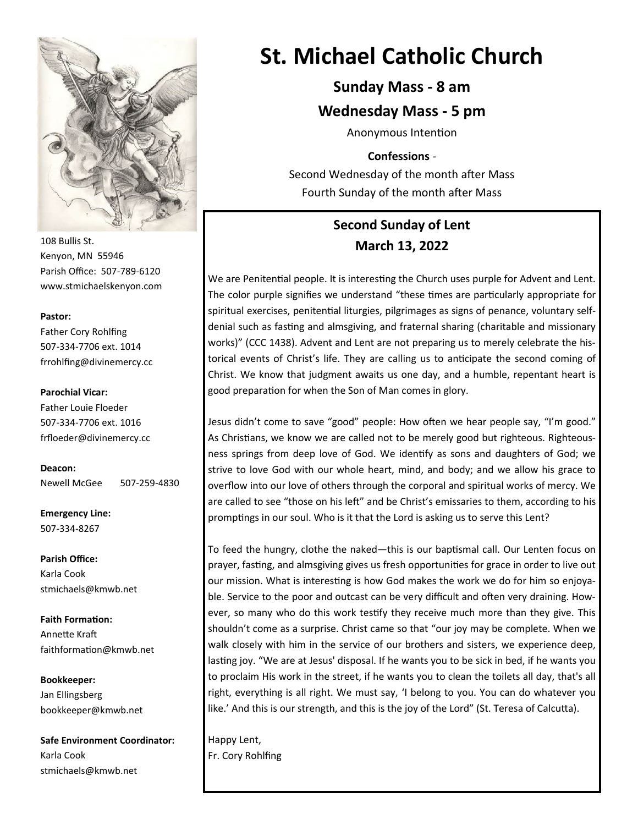

108 Bullis St. Kenyon, MN 55946 Parish Office: 507-789-6120 www.stmichaelskenyon.com

#### **Pastor:**

Father Cory Rohlfing 507-334-7706 ext. 1014 frrohlfing@divinemercy.cc

#### **Parochial Vicar:**

Father Louie Floeder 507-334-7706 ext. 1016 frfloeder@divinemercy.cc

**Deacon:**  Newell McGee 507-259-4830

**Emergency Line:** 507-334-8267

**Parish Office:**  Karla Cook stmichaels@kmwb.net

**Faith Formation:**  Annette Kraft faithformation@kmwb.net

**Bookkeeper:**  Jan Ellingsberg bookkeeper@kmwb.net

**Safe Environment Coordinator:** Karla Cook stmichaels@kmwb.net

# **St. Michael Catholic Church**

**Sunday Mass - 8 am**

**Wednesday Mass - 5 pm** 

Anonymous Intention

**Confessions** -

Second Wednesday of the month after Mass Fourth Sunday of the month after Mass

# **Second Sunday of Lent March 13, 2022**

We are Penitential people. It is interesting the Church uses purple for Advent and Lent. The color purple signifies we understand "these times are particularly appropriate for spiritual exercises, penitential liturgies, pilgrimages as signs of penance, voluntary selfdenial such as fasting and almsgiving, and fraternal sharing (charitable and missionary works)" (CCC 1438). Advent and Lent are not preparing us to merely celebrate the historical events of Christ's life. They are calling us to anticipate the second coming of Christ. We know that judgment awaits us one day, and a humble, repentant heart is good preparation for when the Son of Man comes in glory.

Jesus didn't come to save "good" people: How often we hear people say, "I'm good." As Christians, we know we are called not to be merely good but righteous. Righteousness springs from deep love of God. We identify as sons and daughters of God; we strive to love God with our whole heart, mind, and body; and we allow his grace to overflow into our love of others through the corporal and spiritual works of mercy. We are called to see "those on his left" and be Christ's emissaries to them, according to his promptings in our soul. Who is it that the Lord is asking us to serve this Lent?

To feed the hungry, clothe the naked—this is our baptismal call. Our Lenten focus on prayer, fasting, and almsgiving gives us fresh opportunities for grace in order to live out our mission. What is interesting is how God makes the work we do for him so enjoyable. Service to the poor and outcast can be very difficult and often very draining. However, so many who do this work testify they receive much more than they give. This shouldn't come as a surprise. Christ came so that "our joy may be complete. When we walk closely with him in the service of our brothers and sisters, we experience deep, lasting joy. "We are at Jesus' disposal. If he wants you to be sick in bed, if he wants you to proclaim His work in the street, if he wants you to clean the toilets all day, that's all right, everything is all right. We must say, 'I belong to you. You can do whatever you like.' And this is our strength, and this is the joy of the Lord" (St. Teresa of Calcutta).

Happy Lent, Fr. Cory Rohlfing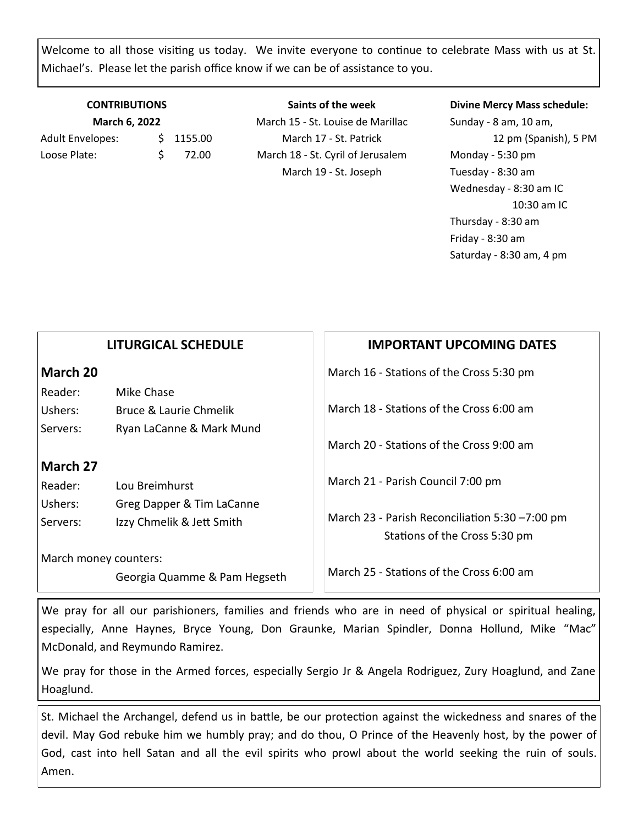Welcome to all those visiting us today. We invite everyone to continue to celebrate Mass with us at St. Michael's. Please let the parish office know if we can be of assistance to you.

#### **CONTRIBUTIONS March 6, 2022**

Adult Envelopes: \$1155.00 Loose Plate: \$ 72.00

**Saints of the week** March 15 - St. Louise de Marillac March 17 - St. Patrick March 18 - St. Cyril of Jerusalem March 19 - St. Joseph

#### **Divine Mercy Mass schedule:**

Sunday - 8 am, 10 am, 12 pm (Spanish), 5 PM Monday - 5:30 pm Tuesday - 8:30 am Wednesday - 8:30 am IC 10:30 am IC Thursday - 8:30 am Friday - 8:30 am Saturday - 8:30 am, 4 pm

#### **LITURGICAL SCHEDULE**

#### **March 20**

Reader: Mike Chase Ushers: Bruce & Laurie Chmelik Servers: Ryan LaCanne & Mark Mund

#### **March 27**

Reader: Lou Breimhurst Ushers: Greg Dapper & Tim LaCanne Servers: Izzy Chmelik & Jett Smith

March money counters:

Georgia Quamme & Pam Hegseth

## **IMPORTANT UPCOMING DATES**

March 16 - Stations of the Cross 5:30 pm

March 18 - Stations of the Cross 6:00 am

March 20 - Stations of the Cross 9:00 am

March 21 - Parish Council 7:00 pm

March 23 - Parish Reconciliation 5:30 –7:00 pm Stations of the Cross 5:30 pm

March 25 - Stations of the Cross 6:00 am

We pray for all our parishioners, families and friends who are in need of physical or spiritual healing, especially, Anne Haynes, Bryce Young, Don Graunke, Marian Spindler, Donna Hollund, Mike "Mac" McDonald, and Reymundo Ramirez.

We pray for those in the Armed forces, especially Sergio Jr & Angela Rodriguez, Zury Hoaglund, and Zane Hoaglund.

St. Michael the Archangel, defend us in battle, be our protection against the wickedness and snares of the devil. May God rebuke him we humbly pray; and do thou, O Prince of the Heavenly host, by the power of God, cast into hell Satan and all the evil spirits who prowl about the world seeking the ruin of souls. Amen.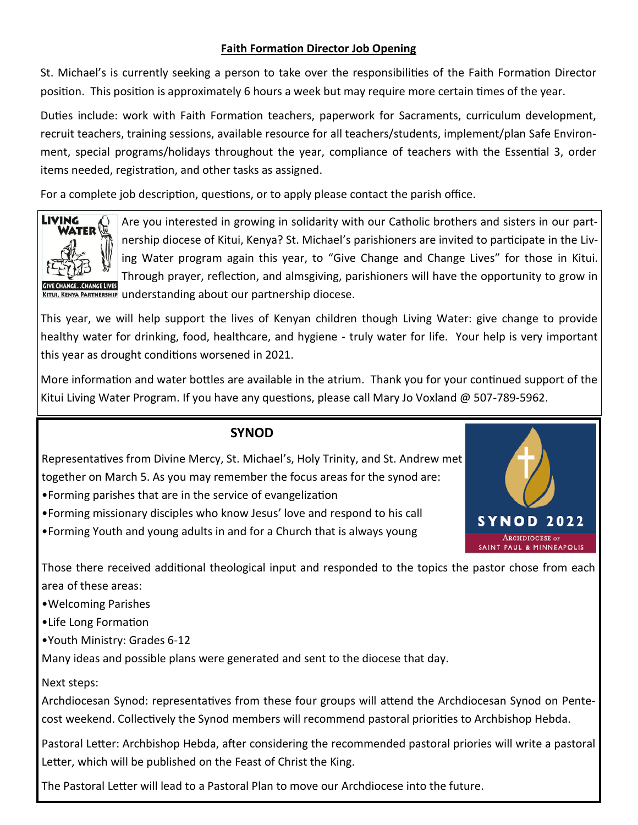#### **Faith Formation Director Job Opening**

St. Michael's is currently seeking a person to take over the responsibilities of the Faith Formation Director position. This position is approximately 6 hours a week but may require more certain times of the year.

Duties include: work with Faith Formation teachers, paperwork for Sacraments, curriculum development, recruit teachers, training sessions, available resource for all teachers/students, implement/plan Safe Environment, special programs/holidays throughout the year, compliance of teachers with the Essential 3, order items needed, registration, and other tasks as assigned.

For a complete job description, questions, or to apply please contact the parish office.



Are you interested in growing in solidarity with our Catholic brothers and sisters in our partnership diocese of Kitui, Kenya? St. Michael's parishioners are invited to participate in the Living Water program again this year, to "Give Change and Change Lives" for those in Kitui. Through prayer, reflection, and almsgiving, parishioners will have the opportunity to grow in KITUI, KENYA PARTNERSHIP understanding about our partnership diocese.

This year, we will help support the lives of Kenyan children though Living Water: give change to provide healthy water for drinking, food, healthcare, and hygiene - truly water for life. Your help is very important this year as drought conditions worsened in 2021.

More information and water bottles are available in the atrium. Thank you for your continued support of the Kitui Living Water Program. If you have any questions, please call Mary Jo Voxland @ 507-789-5962.

## **SYNOD**

Representatives from Divine Mercy, St. Michael's, Holy Trinity, and St. Andrew met together on March 5. As you may remember the focus areas for the synod are:

•Forming parishes that are in the service of evangelization

- •Forming missionary disciples who know Jesus' love and respond to his call
- •Forming Youth and young adults in and for a Church that is always young



Those there received additional theological input and responded to the topics the pastor chose from each area of these areas:

•Welcoming Parishes

•Life Long Formation

•Youth Ministry: Grades 6-12

Many ideas and possible plans were generated and sent to the diocese that day.

Next steps:

Archdiocesan Synod: representatives from these four groups will attend the Archdiocesan Synod on Pentecost weekend. Collectively the Synod members will recommend pastoral priorities to Archbishop Hebda.

Pastoral Letter: Archbishop Hebda, after considering the recommended pastoral priories will write a pastoral Letter, which will be published on the Feast of Christ the King.

The Pastoral Letter will lead to a Pastoral Plan to move our Archdiocese into the future.